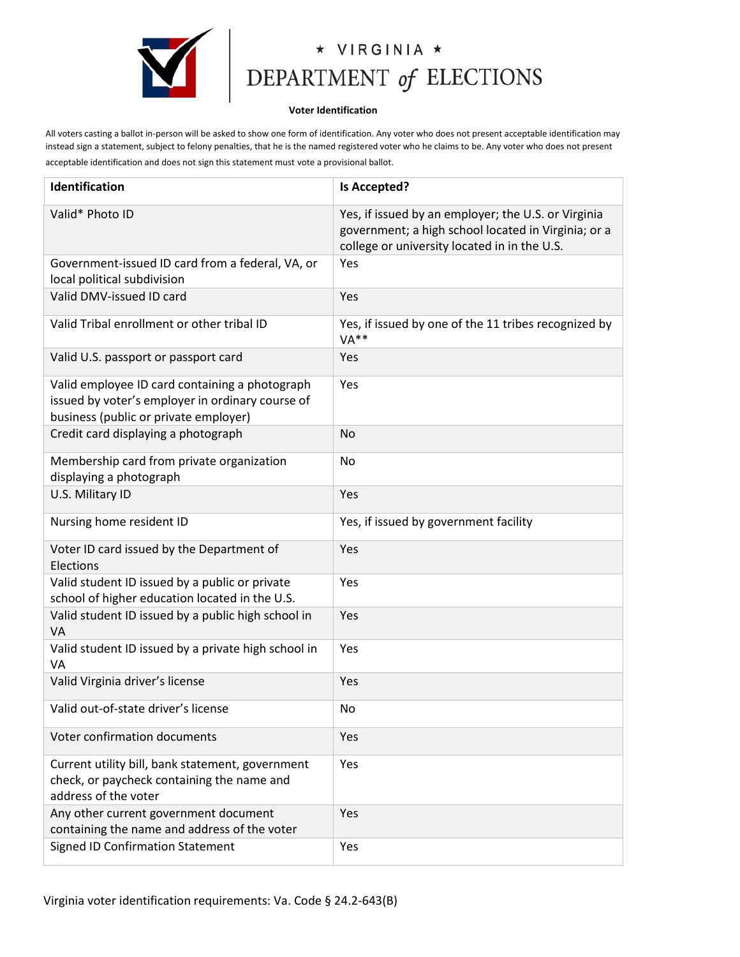

## $\begin{array}{cc}\n\star & \lor \textsf{IRGINIA} \ \star \\ \n\textsf{DEPENDENT of ELECTIONS}\n\end{array}$

## **Voter Identification**

All voters casting a ballot in-person will be asked to show one form of identification. Any voter who does not present acceptable identification may instead sign a statement, subject to felony penalties, that he is the named registered voter who he claims to be. Any voter who does not present acceptable identification and does not sign this statement must vote a provisional ballot.

| Identification                                                                                                                              | <b>Is Accepted?</b>                                                                                                                                        |
|---------------------------------------------------------------------------------------------------------------------------------------------|------------------------------------------------------------------------------------------------------------------------------------------------------------|
| Valid* Photo ID                                                                                                                             | Yes, if issued by an employer; the U.S. or Virginia<br>government; a high school located in Virginia; or a<br>college or university located in in the U.S. |
| Government-issued ID card from a federal, VA, or<br>local political subdivision                                                             | Yes                                                                                                                                                        |
| Valid DMV-issued ID card                                                                                                                    | Yes                                                                                                                                                        |
| Valid Tribal enrollment or other tribal ID                                                                                                  | Yes, if issued by one of the 11 tribes recognized by<br>$VA**$                                                                                             |
| Valid U.S. passport or passport card                                                                                                        | Yes                                                                                                                                                        |
| Valid employee ID card containing a photograph<br>issued by voter's employer in ordinary course of<br>business (public or private employer) | Yes                                                                                                                                                        |
| Credit card displaying a photograph                                                                                                         | No                                                                                                                                                         |
| Membership card from private organization<br>displaying a photograph                                                                        | No                                                                                                                                                         |
| U.S. Military ID                                                                                                                            | Yes                                                                                                                                                        |
| Nursing home resident ID                                                                                                                    | Yes, if issued by government facility                                                                                                                      |
| Voter ID card issued by the Department of<br>Elections                                                                                      | Yes                                                                                                                                                        |
| Valid student ID issued by a public or private<br>school of higher education located in the U.S.                                            | Yes                                                                                                                                                        |
| Valid student ID issued by a public high school in<br>VA                                                                                    | Yes                                                                                                                                                        |
| Valid student ID issued by a private high school in<br>VA                                                                                   | Yes                                                                                                                                                        |
| Valid Virginia driver's license                                                                                                             | Yes                                                                                                                                                        |
| Valid out-of-state driver's license                                                                                                         | No                                                                                                                                                         |
| Voter confirmation documents                                                                                                                | Yes                                                                                                                                                        |
| Current utility bill, bank statement, government<br>check, or paycheck containing the name and<br>address of the voter                      | Yes                                                                                                                                                        |
| Any other current government document<br>containing the name and address of the voter                                                       | Yes                                                                                                                                                        |
| <b>Signed ID Confirmation Statement</b>                                                                                                     | Yes                                                                                                                                                        |